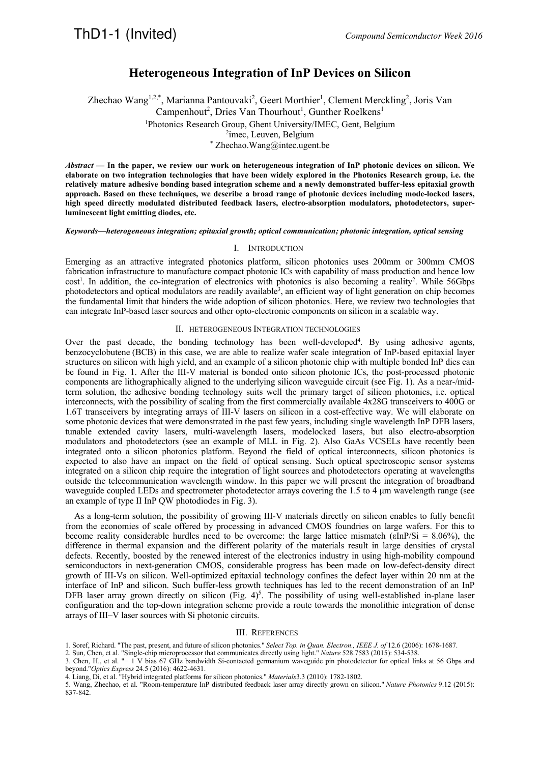## ThD1-1 (Invited) *Compound Semiconductor Week 2016*

### **Heterogeneous Integration of InP Devices on Silicon**

Zhechao Wang<sup>1,2,\*</sup>, Marianna Pantouvaki<sup>2</sup>, Geert Morthier<sup>1</sup>, Clement Merckling<sup>2</sup>, Joris Van Campenhout<sup>2</sup>, Dries Van Thourhout<sup>1</sup>, Gunther Roelkens<sup>1</sup>

<sup>1</sup>Photonics Research Group, Ghent University/IMEC, Gent, Belgium<br><sup>2</sup>imes Leuven, Belgium

<sup>2</sup>imec, Leuven, Belgium<br> *\** Zhechao.Wang@intec.ugent.be

*Abstract* **— In the paper, we review our work on heterogeneous integration of InP photonic devices on silicon. We elaborate on two integration technologies that have been widely explored in the Photonics Research group, i.e. the relatively mature adhesive bonding based integration scheme and a newly demonstrated buffer-less epitaxial growth approach. Based on these techniques, we describe a broad range of photonic devices including mode-locked lasers, high speed directly modulated distributed feedback lasers, electro-absorption modulators, photodetectors, superluminescent light emitting diodes, etc.** 

*Keywords—heterogeneous integration; epitaxial growth; optical communication; photonic integration, optical sensing* 

### I. INTRODUCTION

Emerging as an attractive integrated photonics platform, silicon photonics uses 200mm or 300mm CMOS fabrication infrastructure to manufacture compact photonic ICs with capability of mass production and hence low cost<sup>1</sup>. In addition, the co-integration of electronics with photonics is also becoming a reality<sup>2</sup>. While 56Gbps photodetectors and optical modulators are readily available<sup>3</sup>, an efficient way of light generation on chip becomes the fundamental limit that hinders the wide adoption of silicon photonics. Here, we review two technologies that can integrate InP-based laser sources and other opto-electronic components on silicon in a scalable way.

### II. HETEROGENEOUS INTEGRATION TECHNOLOGIES

Over the past decade, the bonding technology has been well-developed<sup>4</sup>. By using adhesive agents, benzocyclobutene (BCB) in this case, we are able to realize wafer scale integration of InP-based epitaxial layer structures on silicon with high yield, and an example of a silicon photonic chip with multiple bonded InP dies can be found in Fig. 1. After the III-V material is bonded onto silicon photonic ICs, the post-processed photonic components are lithographically aligned to the underlying silicon waveguide circuit (see Fig. 1). As a near-/midterm solution, the adhesive bonding technology suits well the primary target of silicon photonics, i.e. optical interconnects, with the possibility of scaling from the first commercially available 4x28G transceivers to 400G or 1.6T transceivers by integrating arrays of III-V lasers on silicon in a cost-effective way. We will elaborate on some photonic devices that were demonstrated in the past few years, including single wavelength InP DFB lasers, tunable extended cavity lasers, multi-wavelength lasers, modelocked lasers, but also electro-absorption modulators and photodetectors (see an example of MLL in Fig. 2). Also GaAs VCSELs have recently been integrated onto a silicon photonics platform. Beyond the field of optical interconnects, silicon photonics is expected to also have an impact on the field of optical sensing. Such optical spectroscopic sensor systems integrated on a silicon chip require the integration of light sources and photodetectors operating at wavelengths outside the telecommunication wavelength window. In this paper we will present the integration of broadband waveguide coupled LEDs and spectrometer photodetector arrays covering the 1.5 to 4  $\mu$ m wavelength range (see an example of type II InP QW photodiodes in Fig. 3).

 As a long-term solution, the possibility of growing III-V materials directly on silicon enables to fully benefit from the economies of scale offered by processing in advanced CMOS foundries on large wafers. For this to become reality considerable hurdles need to be overcome: the large lattice mismatch (εInP/Si = 8.06%), the difference in thermal expansion and the different polarity of the materials result in large densities of crystal defects. Recently, boosted by the renewed interest of the electronics industry in using high-mobility compound semiconductors in next-generation CMOS, considerable progress has been made on low-defect-density direct growth of III-Vs on silicon. Well-optimized epitaxial technology confines the defect layer within 20 nm at the interface of InP and silicon. Such buffer-less growth techniques has led to the recent demonstration of an InP DFB laser array grown directly on silicon (Fig.  $4$ )<sup>5</sup>. The possibility of using well-established in-plane laser configuration and the top-down integration scheme provide a route towards the monolithic integration of dense arrays of III–V laser sources with Si photonic circuits.

#### III. REFERENCES

5. Wang, Zhechao, et al. "Room-temperature InP distributed feedback laser array directly grown on silicon." *Nature Photonics* 9.12 (2015): 837-842.

<sup>1.</sup> Soref, Richard. "The past, present, and future of silicon photonics." *Select Top. in Quan. Electron., IEEE J. of* 12.6 (2006): 1678-1687.

<sup>2.</sup> Sun, Chen, et al. "Single-chip microprocessor that communicates directly using light." *Nature* 528.7583 (2015): 534-538.

<sup>3.</sup> Chen, H., et al. "− 1 V bias 67 GHz bandwidth Si-contacted germanium waveguide pin photodetector for optical links at 56 Gbps and beyond."*Optics Express* 24.5 (2016): 4622-4631.

<sup>4.</sup> Liang, Di, et al. "Hybrid integrated platforms for silicon photonics." *Materials*3.3 (2010): 1782-1802.